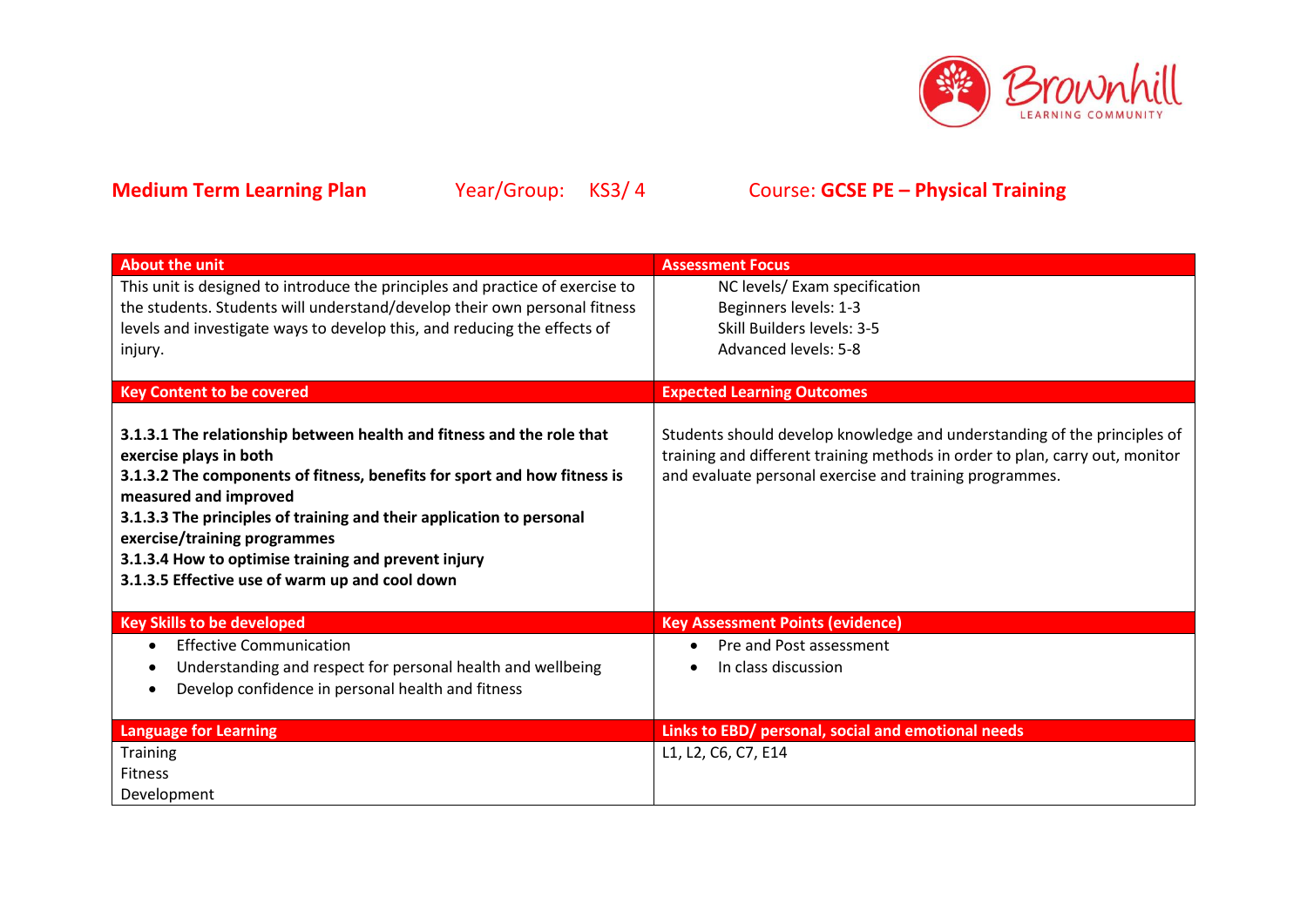

| <b>About the unit</b>                                                                                                                                                                                                                                                                                                                                                                                                 | <b>Assessment Focus</b>                                                                                                                                                                                             |
|-----------------------------------------------------------------------------------------------------------------------------------------------------------------------------------------------------------------------------------------------------------------------------------------------------------------------------------------------------------------------------------------------------------------------|---------------------------------------------------------------------------------------------------------------------------------------------------------------------------------------------------------------------|
| This unit is designed to introduce the principles and practice of exercise to                                                                                                                                                                                                                                                                                                                                         | NC levels/ Exam specification                                                                                                                                                                                       |
| the students. Students will understand/develop their own personal fitness                                                                                                                                                                                                                                                                                                                                             | Beginners levels: 1-3                                                                                                                                                                                               |
| levels and investigate ways to develop this, and reducing the effects of                                                                                                                                                                                                                                                                                                                                              | Skill Builders levels: 3-5                                                                                                                                                                                          |
| injury.                                                                                                                                                                                                                                                                                                                                                                                                               | <b>Advanced levels: 5-8</b>                                                                                                                                                                                         |
|                                                                                                                                                                                                                                                                                                                                                                                                                       |                                                                                                                                                                                                                     |
| <b>Key Content to be covered</b>                                                                                                                                                                                                                                                                                                                                                                                      | <b>Expected Learning Outcomes</b>                                                                                                                                                                                   |
| 3.1.3.1 The relationship between health and fitness and the role that<br>exercise plays in both<br>3.1.3.2 The components of fitness, benefits for sport and how fitness is<br>measured and improved<br>3.1.3.3 The principles of training and their application to personal<br>exercise/training programmes<br>3.1.3.4 How to optimise training and prevent injury<br>3.1.3.5 Effective use of warm up and cool down | Students should develop knowledge and understanding of the principles of<br>training and different training methods in order to plan, carry out, monitor<br>and evaluate personal exercise and training programmes. |
| <b>Key Skills to be developed</b>                                                                                                                                                                                                                                                                                                                                                                                     | <b>Key Assessment Points (evidence)</b>                                                                                                                                                                             |
| <b>Effective Communication</b>                                                                                                                                                                                                                                                                                                                                                                                        | Pre and Post assessment                                                                                                                                                                                             |
| Understanding and respect for personal health and wellbeing                                                                                                                                                                                                                                                                                                                                                           | In class discussion                                                                                                                                                                                                 |
| Develop confidence in personal health and fitness                                                                                                                                                                                                                                                                                                                                                                     |                                                                                                                                                                                                                     |
|                                                                                                                                                                                                                                                                                                                                                                                                                       |                                                                                                                                                                                                                     |
| <b>Language for Learning</b>                                                                                                                                                                                                                                                                                                                                                                                          | Links to EBD/ personal, social and emotional needs                                                                                                                                                                  |
| Training                                                                                                                                                                                                                                                                                                                                                                                                              | L1, L2, C6, C7, E14                                                                                                                                                                                                 |
| <b>Fitness</b>                                                                                                                                                                                                                                                                                                                                                                                                        |                                                                                                                                                                                                                     |
| Development                                                                                                                                                                                                                                                                                                                                                                                                           |                                                                                                                                                                                                                     |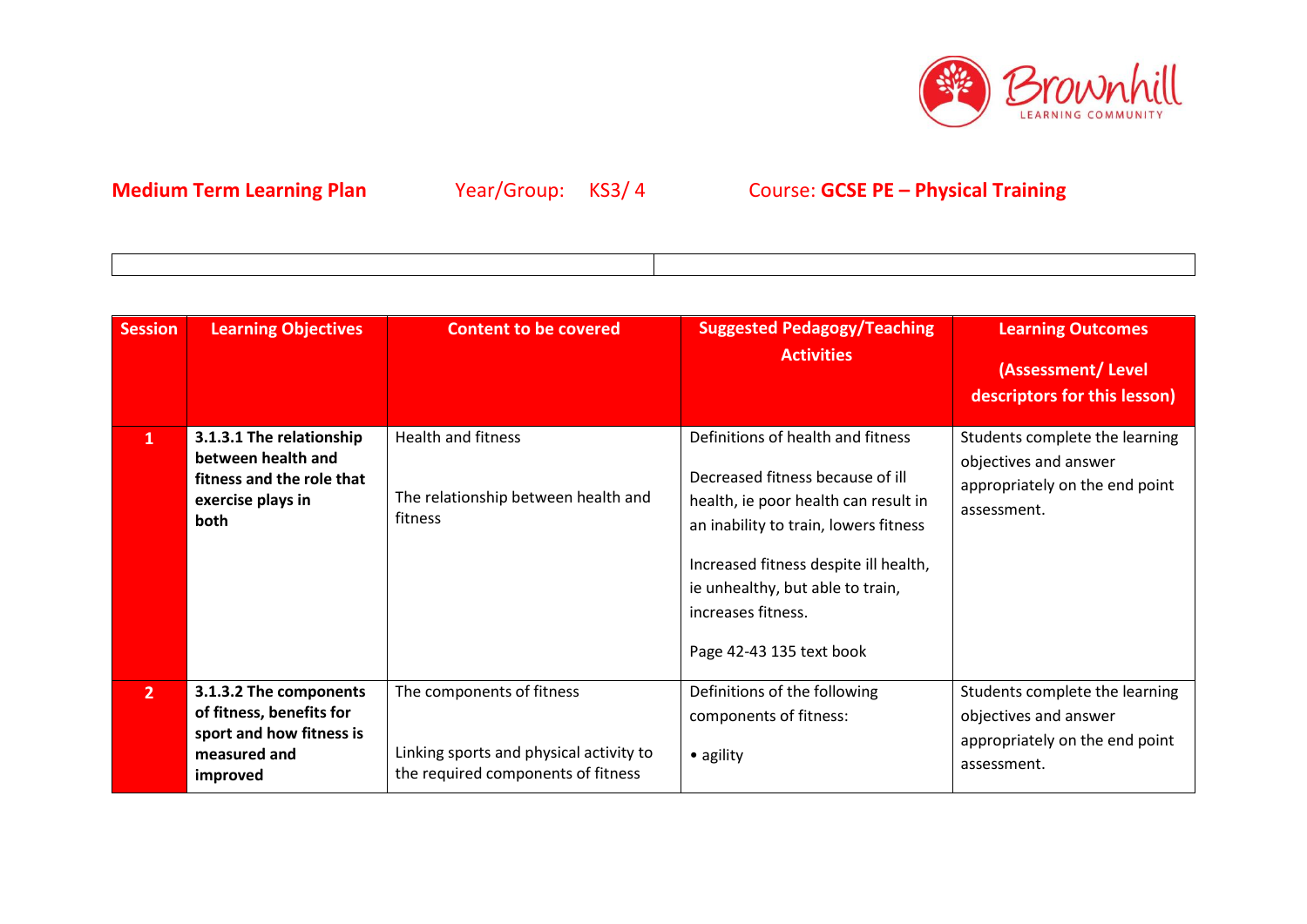

| <b>Session</b> | <b>Learning Objectives</b>                                                                                 | <b>Content to be covered</b>                                                                               | <b>Suggested Pedagogy/Teaching</b><br><b>Activities</b>                                                                                                                                                                                                                               | <b>Learning Outcomes</b><br>(Assessment/Level<br>descriptors for this lesson)                            |
|----------------|------------------------------------------------------------------------------------------------------------|------------------------------------------------------------------------------------------------------------|---------------------------------------------------------------------------------------------------------------------------------------------------------------------------------------------------------------------------------------------------------------------------------------|----------------------------------------------------------------------------------------------------------|
| $\mathbf{1}$   | 3.1.3.1 The relationship<br>between health and<br>fitness and the role that<br>exercise plays in<br>both   | <b>Health and fitness</b><br>The relationship between health and<br>fitness                                | Definitions of health and fitness<br>Decreased fitness because of ill<br>health, ie poor health can result in<br>an inability to train, lowers fitness<br>Increased fitness despite ill health,<br>ie unhealthy, but able to train,<br>increases fitness.<br>Page 42-43 135 text book | Students complete the learning<br>objectives and answer<br>appropriately on the end point<br>assessment. |
| 2 <sup>1</sup> | 3.1.3.2 The components<br>of fitness, benefits for<br>sport and how fitness is<br>measured and<br>improved | The components of fitness<br>Linking sports and physical activity to<br>the required components of fitness | Definitions of the following<br>components of fitness:<br>• agility                                                                                                                                                                                                                   | Students complete the learning<br>objectives and answer<br>appropriately on the end point<br>assessment. |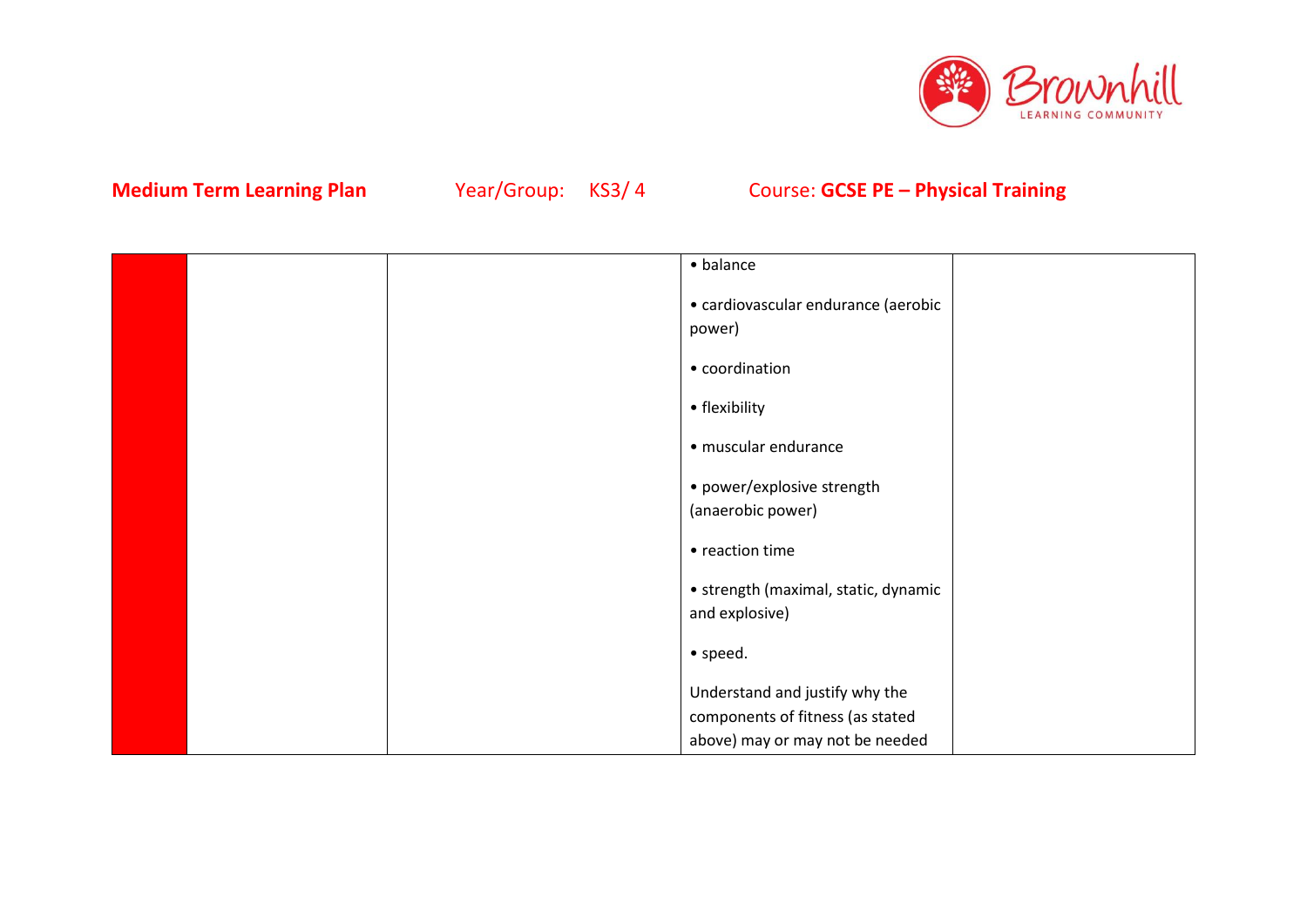

|  | • balance                                     |  |
|--|-----------------------------------------------|--|
|  | • cardiovascular endurance (aerobic<br>power) |  |
|  | • coordination                                |  |
|  | • flexibility                                 |  |
|  | · muscular endurance                          |  |
|  | • power/explosive strength                    |  |
|  | (anaerobic power)                             |  |
|  | • reaction time                               |  |
|  | • strength (maximal, static, dynamic          |  |
|  | and explosive)                                |  |
|  | • speed.                                      |  |
|  | Understand and justify why the                |  |
|  | components of fitness (as stated              |  |
|  | above) may or may not be needed               |  |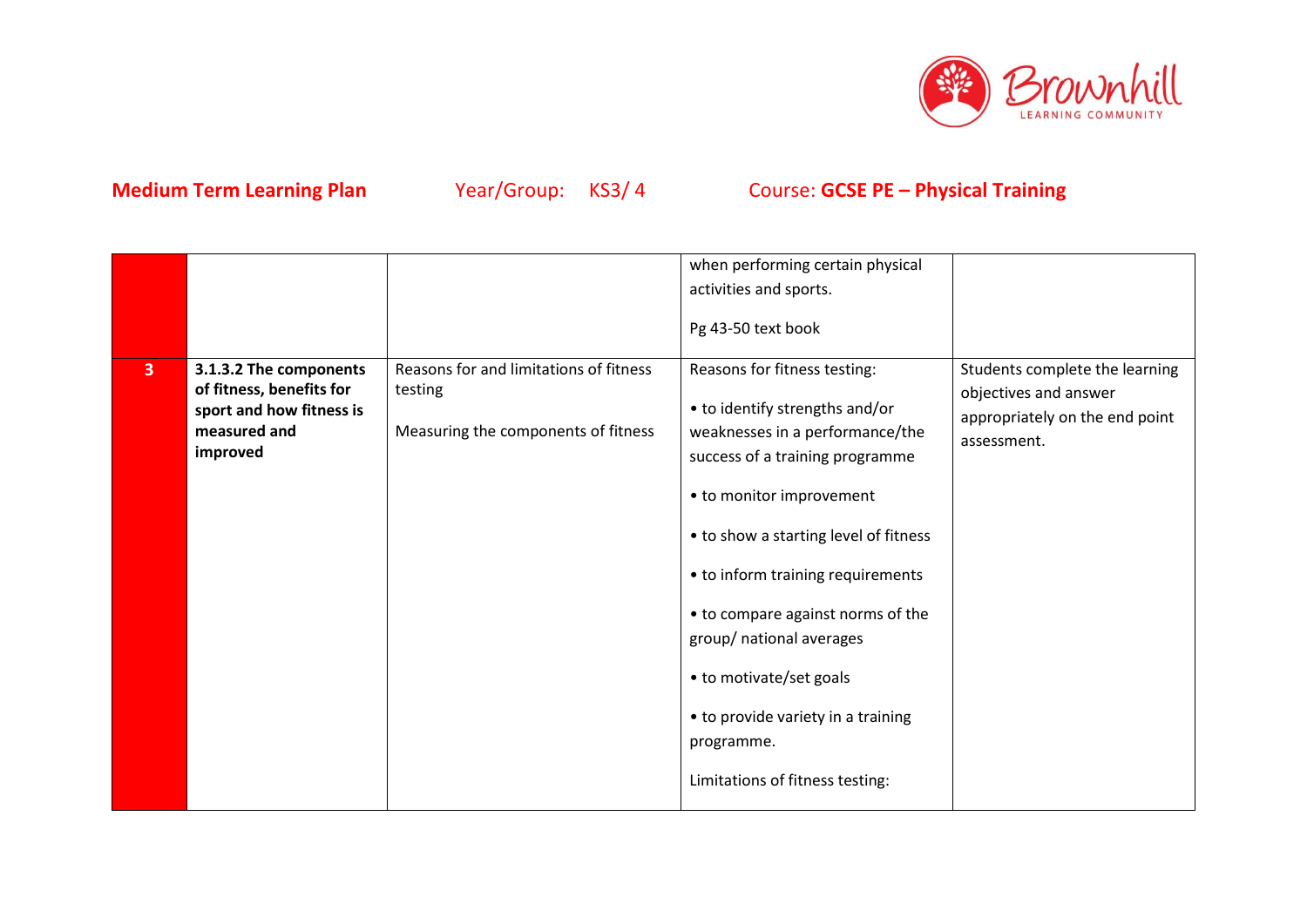

|                         |                                                                                                            |                                                                                          | when performing certain physical<br>activities and sports.                                                                                                                                                                                                                                                                                                                                                                        |                                                                                                          |
|-------------------------|------------------------------------------------------------------------------------------------------------|------------------------------------------------------------------------------------------|-----------------------------------------------------------------------------------------------------------------------------------------------------------------------------------------------------------------------------------------------------------------------------------------------------------------------------------------------------------------------------------------------------------------------------------|----------------------------------------------------------------------------------------------------------|
|                         |                                                                                                            |                                                                                          | Pg 43-50 text book                                                                                                                                                                                                                                                                                                                                                                                                                |                                                                                                          |
| $\overline{\mathbf{3}}$ | 3.1.3.2 The components<br>of fitness, benefits for<br>sport and how fitness is<br>measured and<br>improved | Reasons for and limitations of fitness<br>testing<br>Measuring the components of fitness | Reasons for fitness testing:<br>• to identify strengths and/or<br>weaknesses in a performance/the<br>success of a training programme<br>• to monitor improvement<br>• to show a starting level of fitness<br>• to inform training requirements<br>• to compare against norms of the<br>group/ national averages<br>• to motivate/set goals<br>• to provide variety in a training<br>programme.<br>Limitations of fitness testing: | Students complete the learning<br>objectives and answer<br>appropriately on the end point<br>assessment. |
|                         |                                                                                                            |                                                                                          |                                                                                                                                                                                                                                                                                                                                                                                                                                   |                                                                                                          |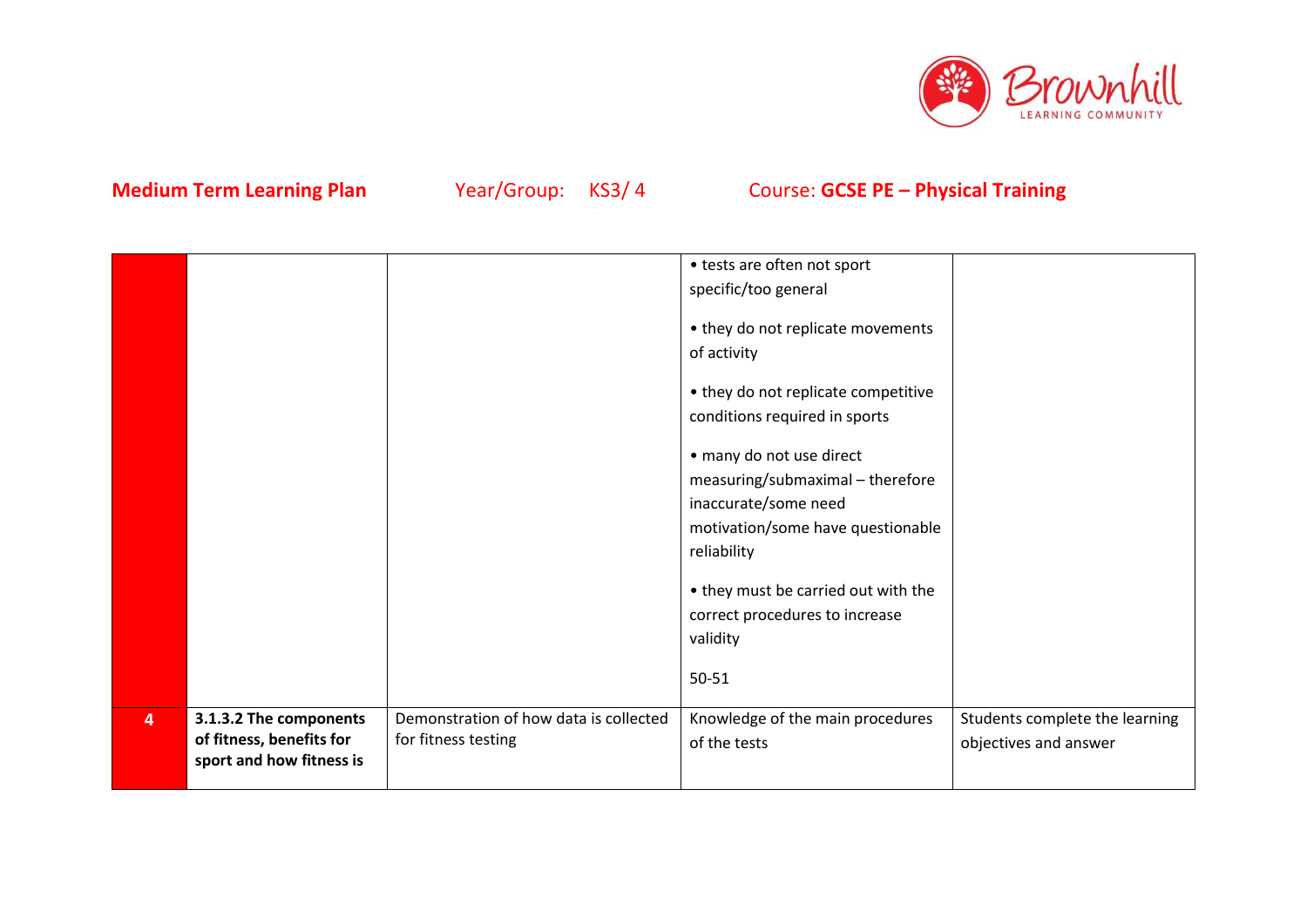

|                |                                                                                |                                                               | • tests are often not sport<br>specific/too general<br>• they do not replicate movements<br>of activity |                                                         |
|----------------|--------------------------------------------------------------------------------|---------------------------------------------------------------|---------------------------------------------------------------------------------------------------------|---------------------------------------------------------|
|                |                                                                                |                                                               | • they do not replicate competitive<br>conditions required in sports                                    |                                                         |
|                |                                                                                |                                                               | • many do not use direct<br>measuring/submaximal - therefore<br>inaccurate/some need                    |                                                         |
|                |                                                                                |                                                               | motivation/some have questionable<br>reliability                                                        |                                                         |
|                |                                                                                |                                                               | • they must be carried out with the<br>correct procedures to increase<br>validity                       |                                                         |
|                |                                                                                |                                                               | 50-51                                                                                                   |                                                         |
| $\overline{4}$ | 3.1.3.2 The components<br>of fitness, benefits for<br>sport and how fitness is | Demonstration of how data is collected<br>for fitness testing | Knowledge of the main procedures<br>of the tests                                                        | Students complete the learning<br>objectives and answer |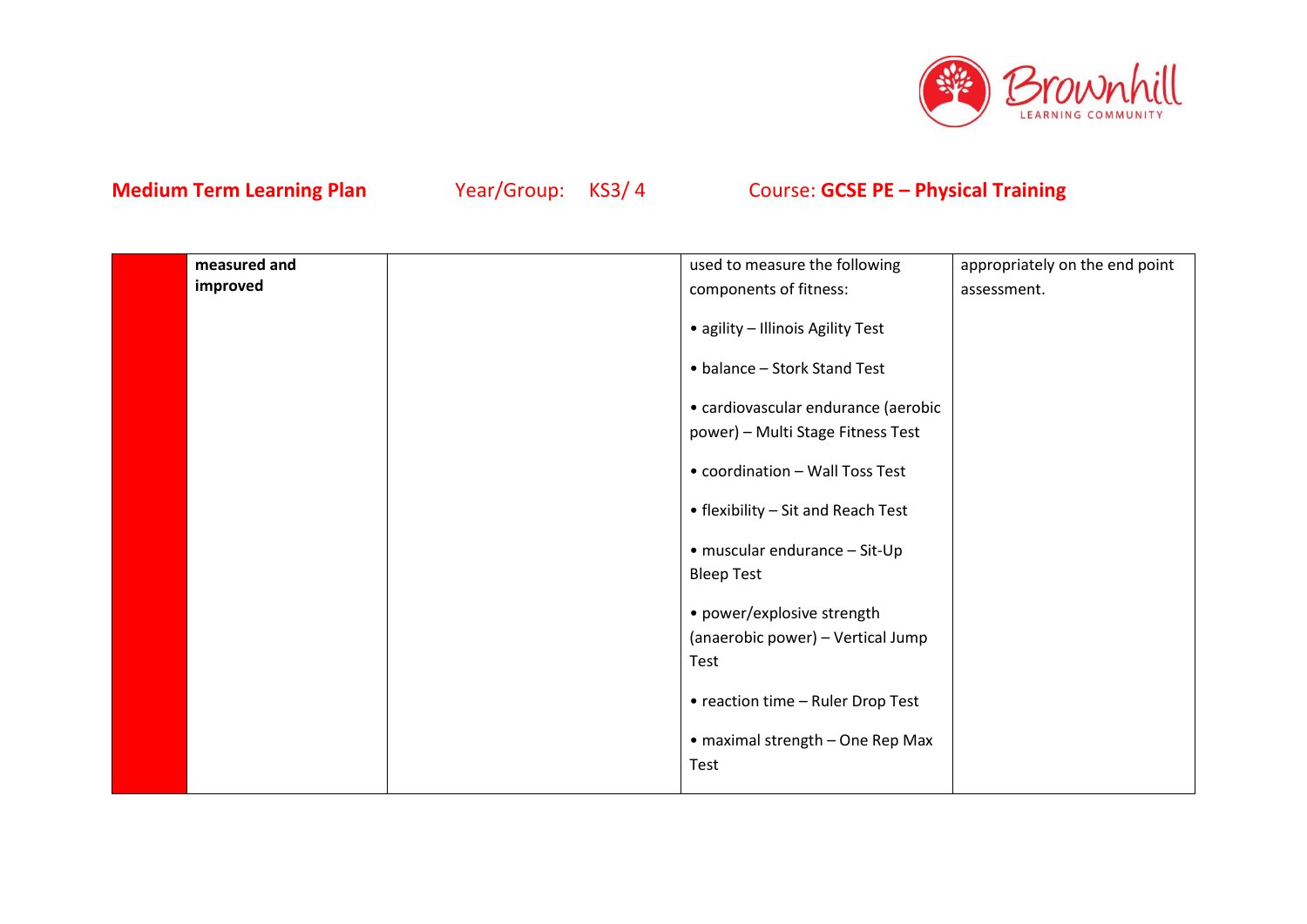

| improved<br>components of fitness:<br>assessment.<br>• agility - Illinois Agility Test<br>• balance - Stork Stand Test<br>• cardiovascular endurance (aerobic<br>power) - Multi Stage Fitness Test<br>• coordination - Wall Toss Test<br>• flexibility - Sit and Reach Test<br>• muscular endurance - Sit-Up<br><b>Bleep Test</b><br>• power/explosive strength<br>(anaerobic power) - Vertical Jump<br>Test<br>• reaction time - Ruler Drop Test<br>• maximal strength - One Rep Max<br>Test | measured and | used to measure the following | appropriately on the end point |
|-----------------------------------------------------------------------------------------------------------------------------------------------------------------------------------------------------------------------------------------------------------------------------------------------------------------------------------------------------------------------------------------------------------------------------------------------------------------------------------------------|--------------|-------------------------------|--------------------------------|
|                                                                                                                                                                                                                                                                                                                                                                                                                                                                                               |              |                               |                                |
|                                                                                                                                                                                                                                                                                                                                                                                                                                                                                               |              |                               |                                |
|                                                                                                                                                                                                                                                                                                                                                                                                                                                                                               |              |                               |                                |
|                                                                                                                                                                                                                                                                                                                                                                                                                                                                                               |              |                               |                                |
|                                                                                                                                                                                                                                                                                                                                                                                                                                                                                               |              |                               |                                |
|                                                                                                                                                                                                                                                                                                                                                                                                                                                                                               |              |                               |                                |
|                                                                                                                                                                                                                                                                                                                                                                                                                                                                                               |              |                               |                                |
|                                                                                                                                                                                                                                                                                                                                                                                                                                                                                               |              |                               |                                |
|                                                                                                                                                                                                                                                                                                                                                                                                                                                                                               |              |                               |                                |
|                                                                                                                                                                                                                                                                                                                                                                                                                                                                                               |              |                               |                                |
|                                                                                                                                                                                                                                                                                                                                                                                                                                                                                               |              |                               |                                |
|                                                                                                                                                                                                                                                                                                                                                                                                                                                                                               |              |                               |                                |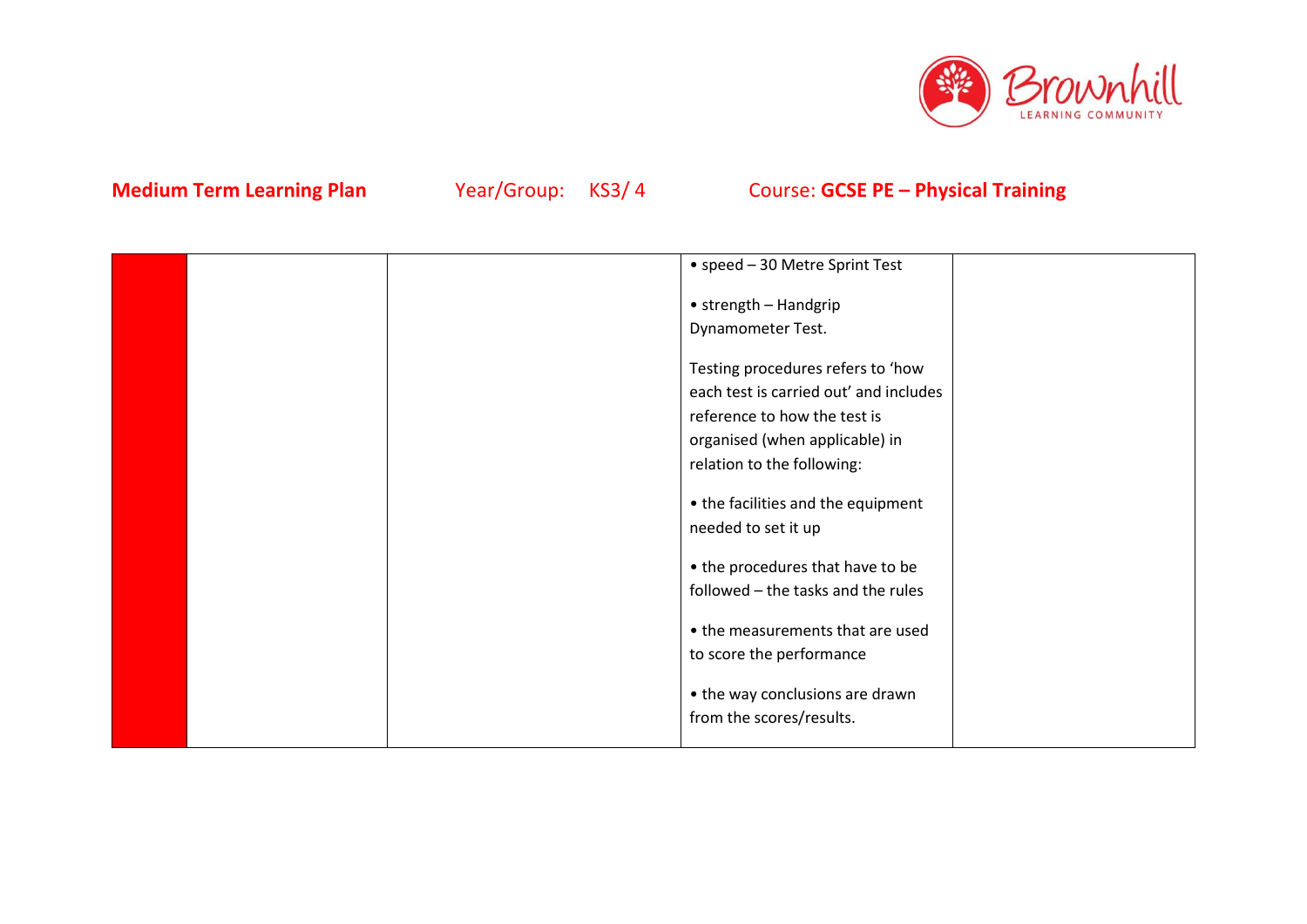

|  | • speed - 30 Metre Sprint Test         |  |
|--|----------------------------------------|--|
|  |                                        |  |
|  | • strength - Handgrip                  |  |
|  | Dynamometer Test.                      |  |
|  |                                        |  |
|  | Testing procedures refers to 'how      |  |
|  | each test is carried out' and includes |  |
|  | reference to how the test is           |  |
|  | organised (when applicable) in         |  |
|  | relation to the following:             |  |
|  |                                        |  |
|  | • the facilities and the equipment     |  |
|  | needed to set it up                    |  |
|  |                                        |  |
|  | • the procedures that have to be       |  |
|  | followed - the tasks and the rules     |  |
|  |                                        |  |
|  | • the measurements that are used       |  |
|  | to score the performance               |  |
|  |                                        |  |
|  | • the way conclusions are drawn        |  |
|  | from the scores/results.               |  |
|  |                                        |  |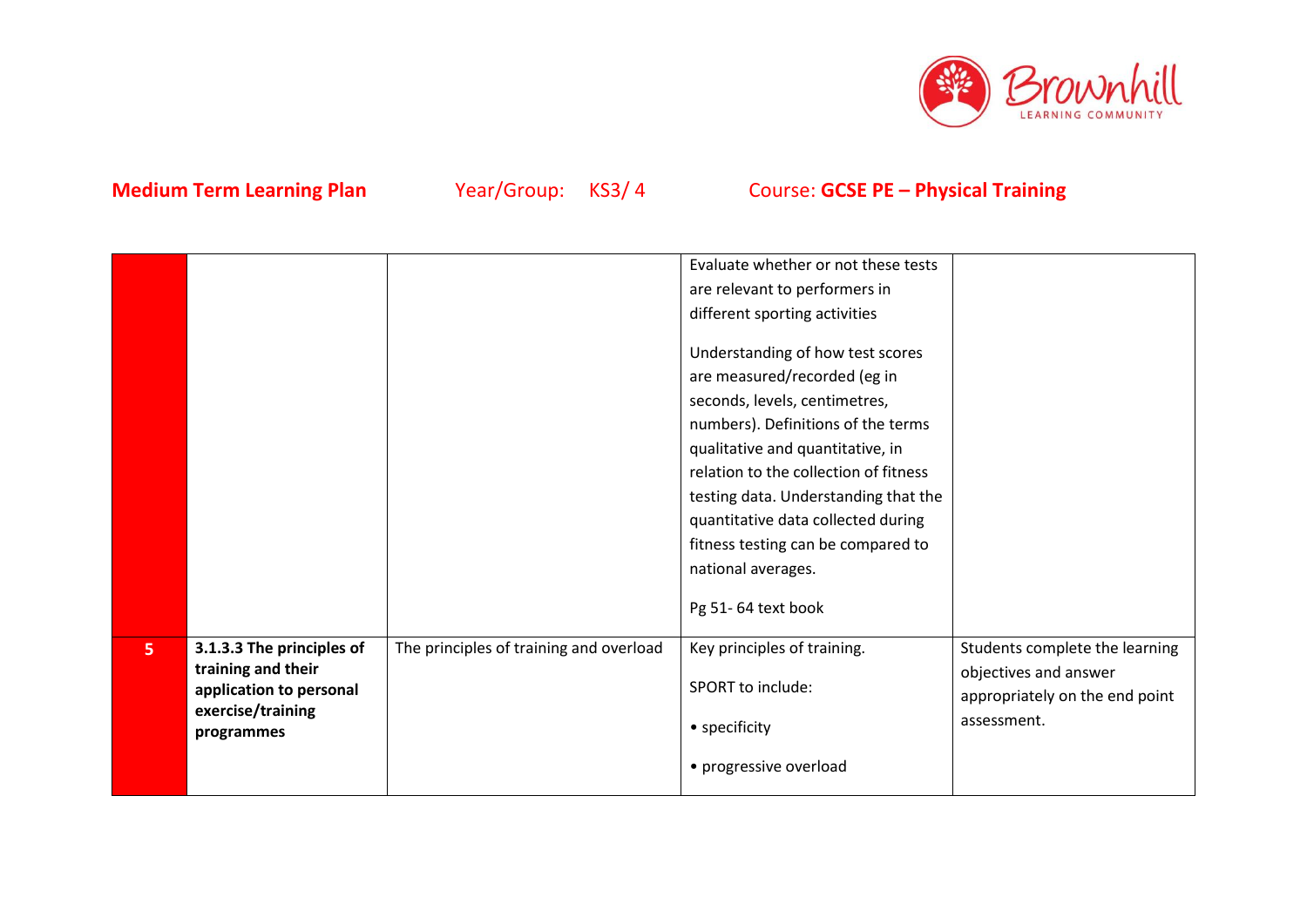

|                |                                                                                                               |                                         | Evaluate whether or not these tests<br>are relevant to performers in<br>different sporting activities<br>Understanding of how test scores<br>are measured/recorded (eg in<br>seconds, levels, centimetres,<br>numbers). Definitions of the terms<br>qualitative and quantitative, in<br>relation to the collection of fitness<br>testing data. Understanding that the<br>quantitative data collected during<br>fitness testing can be compared to<br>national averages.<br>Pg 51-64 text book |                                                                                                          |
|----------------|---------------------------------------------------------------------------------------------------------------|-----------------------------------------|-----------------------------------------------------------------------------------------------------------------------------------------------------------------------------------------------------------------------------------------------------------------------------------------------------------------------------------------------------------------------------------------------------------------------------------------------------------------------------------------------|----------------------------------------------------------------------------------------------------------|
| 5 <sup>1</sup> | 3.1.3.3 The principles of<br>training and their<br>application to personal<br>exercise/training<br>programmes | The principles of training and overload | Key principles of training.<br>SPORT to include:<br>• specificity<br>• progressive overload                                                                                                                                                                                                                                                                                                                                                                                                   | Students complete the learning<br>objectives and answer<br>appropriately on the end point<br>assessment. |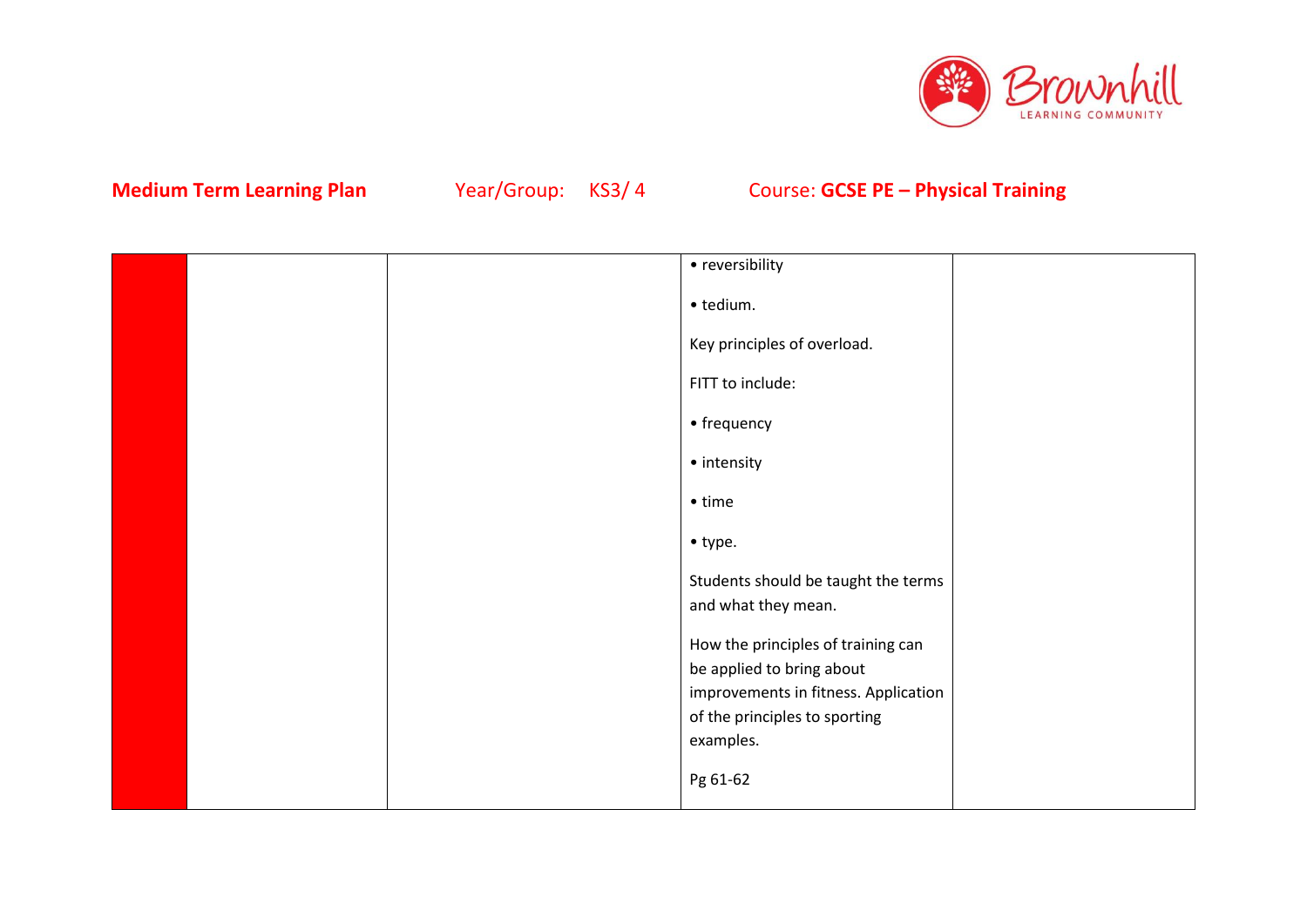

|  | • reversibility                            |  |
|--|--------------------------------------------|--|
|  | · tedium.                                  |  |
|  | Key principles of overload.                |  |
|  | FITT to include:                           |  |
|  | • frequency                                |  |
|  | • intensity                                |  |
|  | $\bullet$ time                             |  |
|  | $\bullet$ type.                            |  |
|  | Students should be taught the terms        |  |
|  | and what they mean.                        |  |
|  | How the principles of training can         |  |
|  | be applied to bring about                  |  |
|  | improvements in fitness. Application       |  |
|  | of the principles to sporting<br>examples. |  |
|  |                                            |  |
|  | Pg 61-62                                   |  |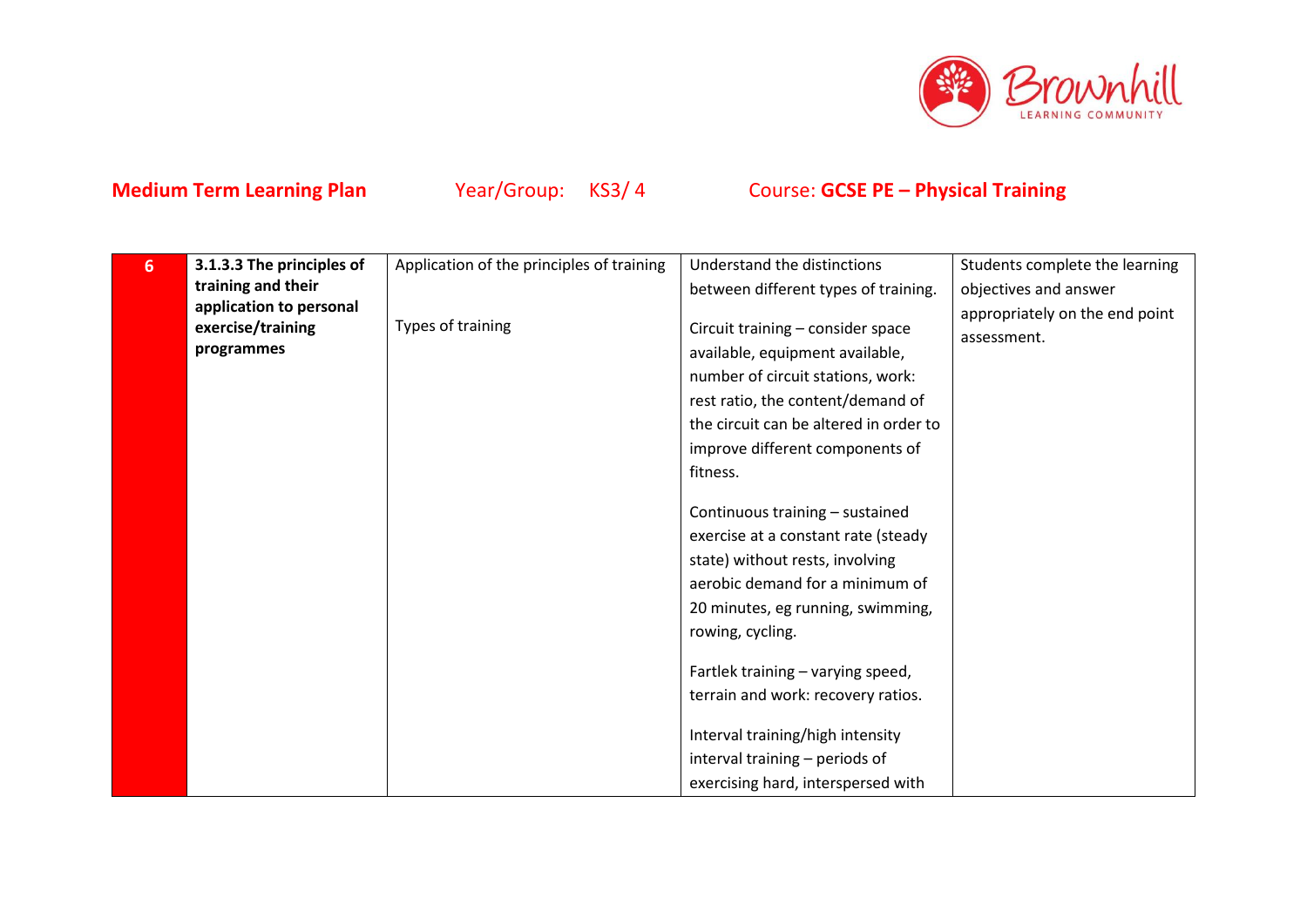

| 6 | 3.1.3.3 The principles of                                  | Application of the principles of training | Understand the distinctions                                            | Students complete the learning                |
|---|------------------------------------------------------------|-------------------------------------------|------------------------------------------------------------------------|-----------------------------------------------|
|   | training and their                                         |                                           | between different types of training.                                   | objectives and answer                         |
|   | application to personal<br>exercise/training<br>programmes | Types of training                         | Circuit training - consider space<br>available, equipment available,   | appropriately on the end point<br>assessment. |
|   |                                                            |                                           | number of circuit stations, work:<br>rest ratio, the content/demand of |                                               |
|   |                                                            |                                           | the circuit can be altered in order to                                 |                                               |
|   |                                                            |                                           | improve different components of                                        |                                               |
|   |                                                            |                                           | fitness.                                                               |                                               |
|   |                                                            |                                           |                                                                        |                                               |
|   |                                                            |                                           | Continuous training - sustained                                        |                                               |
|   |                                                            |                                           | exercise at a constant rate (steady                                    |                                               |
|   |                                                            |                                           | state) without rests, involving                                        |                                               |
|   |                                                            |                                           | aerobic demand for a minimum of                                        |                                               |
|   |                                                            |                                           | 20 minutes, eg running, swimming,                                      |                                               |
|   |                                                            |                                           | rowing, cycling.                                                       |                                               |
|   |                                                            |                                           | Fartlek training - varying speed,                                      |                                               |
|   |                                                            |                                           | terrain and work: recovery ratios.                                     |                                               |
|   |                                                            |                                           | Interval training/high intensity                                       |                                               |
|   |                                                            |                                           | interval training - periods of                                         |                                               |
|   |                                                            |                                           | exercising hard, interspersed with                                     |                                               |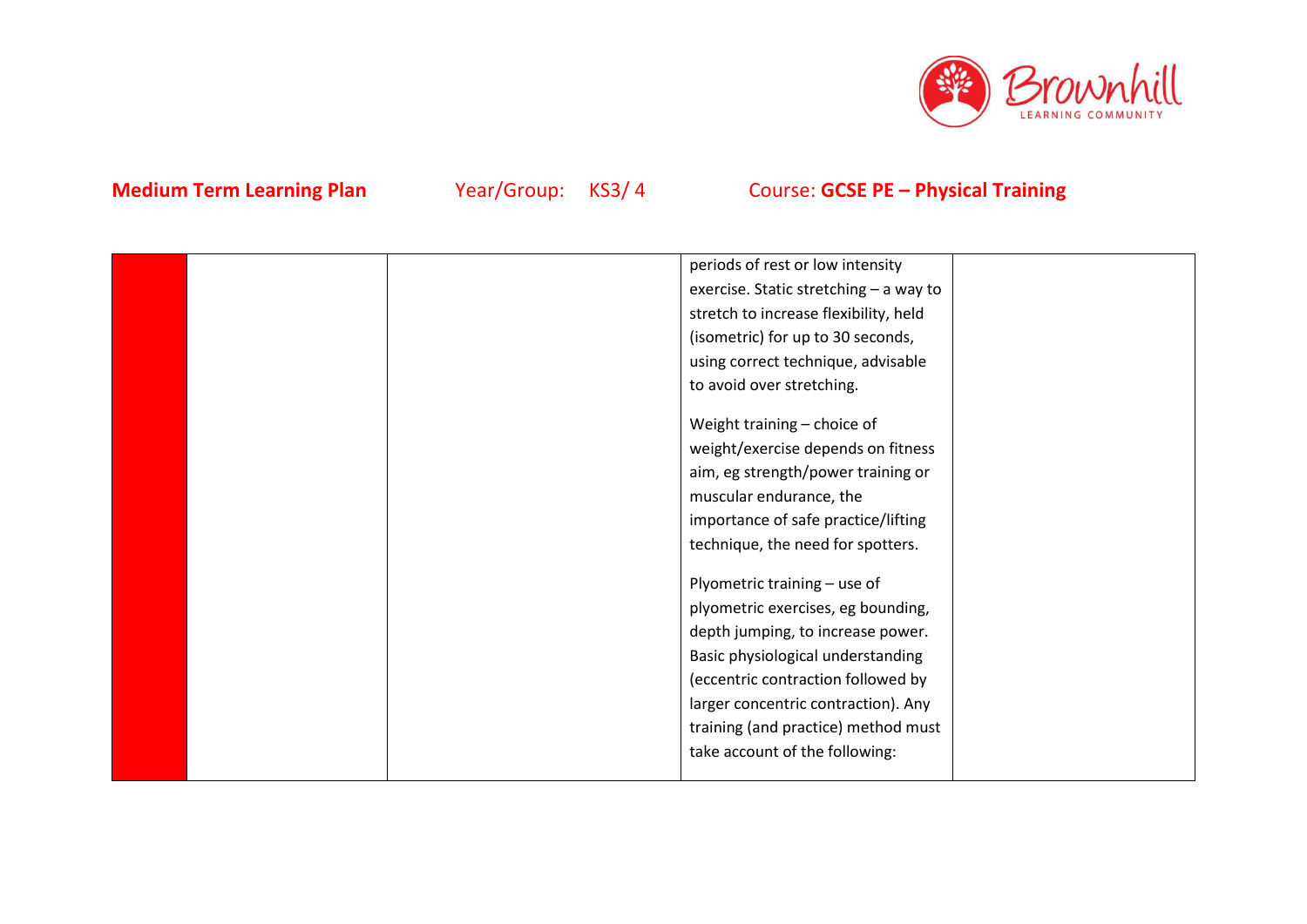

|  | periods of rest or low intensity       |  |
|--|----------------------------------------|--|
|  | exercise. Static stretching - a way to |  |
|  | stretch to increase flexibility, held  |  |
|  | (isometric) for up to 30 seconds,      |  |
|  | using correct technique, advisable     |  |
|  | to avoid over stretching.              |  |
|  |                                        |  |
|  | Weight training - choice of            |  |
|  | weight/exercise depends on fitness     |  |
|  | aim, eg strength/power training or     |  |
|  | muscular endurance, the                |  |
|  | importance of safe practice/lifting    |  |
|  | technique, the need for spotters.      |  |
|  |                                        |  |
|  | Plyometric training - use of           |  |
|  | plyometric exercises, eg bounding,     |  |
|  | depth jumping, to increase power.      |  |
|  | Basic physiological understanding      |  |
|  | (eccentric contraction followed by     |  |
|  | larger concentric contraction). Any    |  |
|  | training (and practice) method must    |  |
|  | take account of the following:         |  |
|  |                                        |  |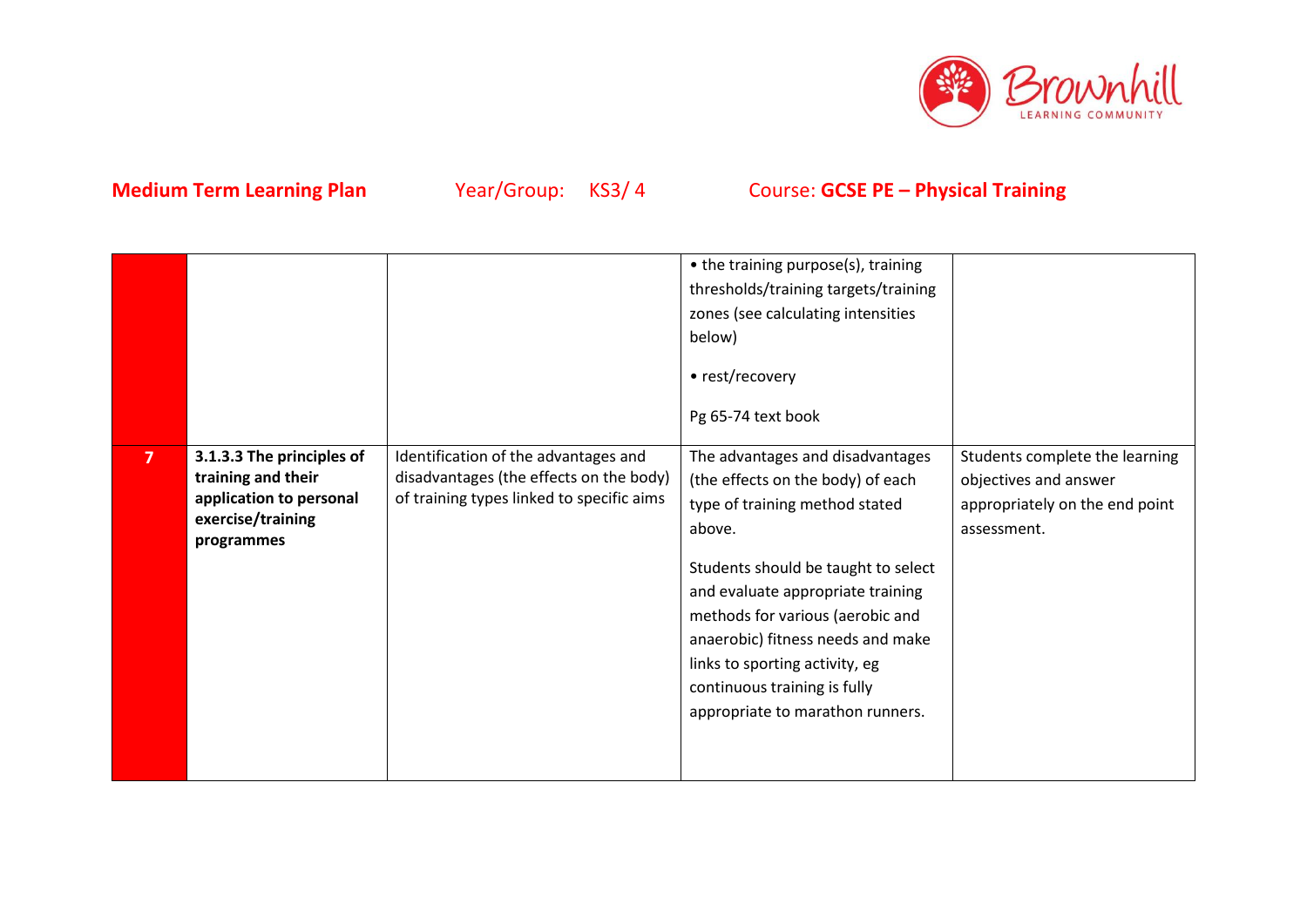

|                |                                                                                                               |                                                                                                                              | • the training purpose(s), training<br>thresholds/training targets/training<br>zones (see calculating intensities<br>below)<br>• rest/recovery<br>Pg 65-74 text book                                                                                                                                                                                                         |                                                                                                          |
|----------------|---------------------------------------------------------------------------------------------------------------|------------------------------------------------------------------------------------------------------------------------------|------------------------------------------------------------------------------------------------------------------------------------------------------------------------------------------------------------------------------------------------------------------------------------------------------------------------------------------------------------------------------|----------------------------------------------------------------------------------------------------------|
| $\overline{7}$ | 3.1.3.3 The principles of<br>training and their<br>application to personal<br>exercise/training<br>programmes | Identification of the advantages and<br>disadvantages (the effects on the body)<br>of training types linked to specific aims | The advantages and disadvantages<br>(the effects on the body) of each<br>type of training method stated<br>above.<br>Students should be taught to select<br>and evaluate appropriate training<br>methods for various (aerobic and<br>anaerobic) fitness needs and make<br>links to sporting activity, eg<br>continuous training is fully<br>appropriate to marathon runners. | Students complete the learning<br>objectives and answer<br>appropriately on the end point<br>assessment. |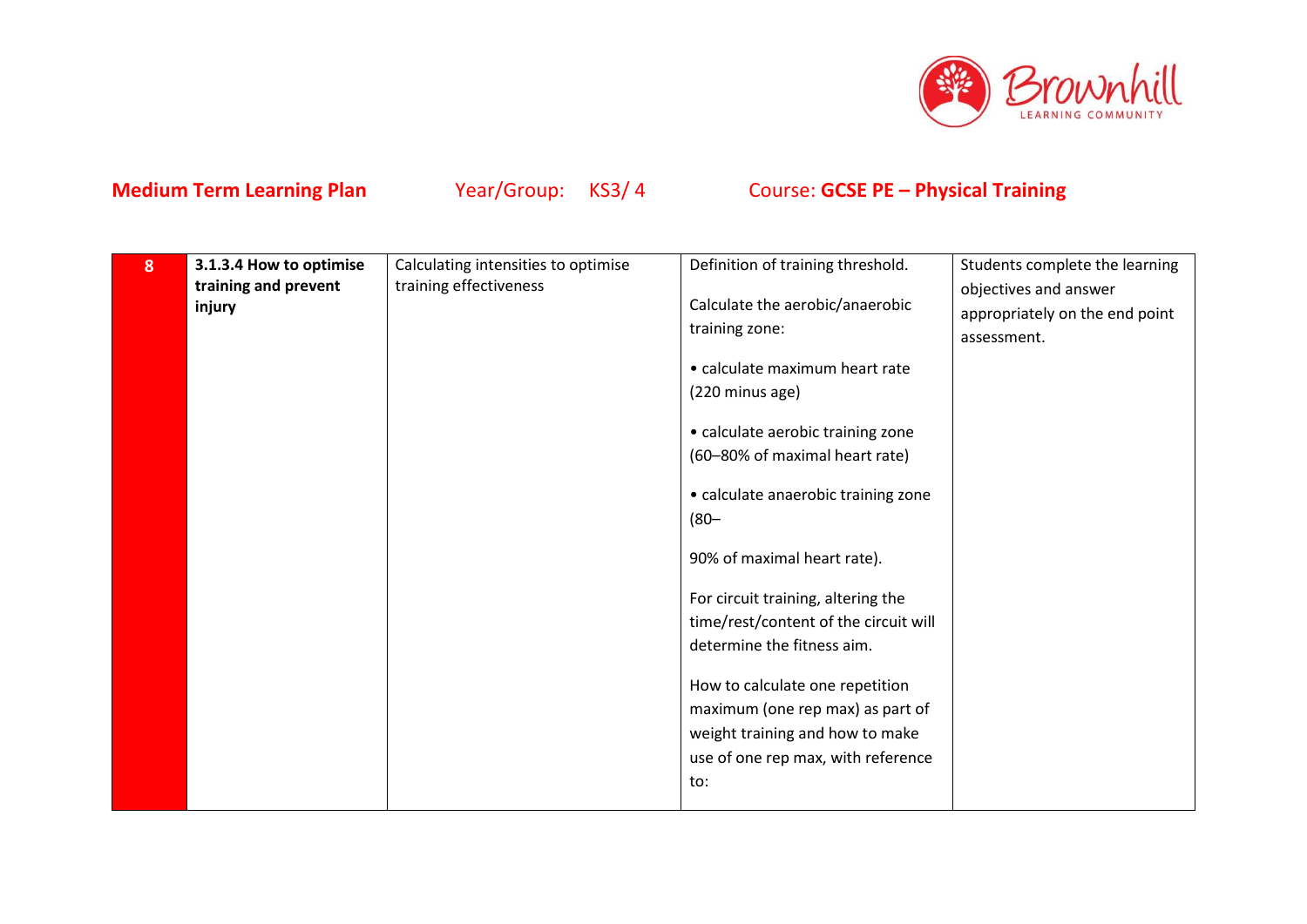

| 8 | 3.1.3.4 How to optimise        | Calculating intensities to optimise | Definition of training threshold.     | Students complete the learning                          |
|---|--------------------------------|-------------------------------------|---------------------------------------|---------------------------------------------------------|
|   | training and prevent<br>injury | training effectiveness              | Calculate the aerobic/anaerobic       | objectives and answer<br>appropriately on the end point |
|   |                                |                                     | training zone:                        | assessment.                                             |
|   |                                |                                     | • calculate maximum heart rate        |                                                         |
|   |                                |                                     | (220 minus age)                       |                                                         |
|   |                                |                                     | • calculate aerobic training zone     |                                                         |
|   |                                |                                     | (60-80% of maximal heart rate)        |                                                         |
|   |                                |                                     | • calculate anaerobic training zone   |                                                         |
|   |                                |                                     | $(80 -$                               |                                                         |
|   |                                |                                     | 90% of maximal heart rate).           |                                                         |
|   |                                |                                     | For circuit training, altering the    |                                                         |
|   |                                |                                     | time/rest/content of the circuit will |                                                         |
|   |                                |                                     | determine the fitness aim.            |                                                         |
|   |                                |                                     | How to calculate one repetition       |                                                         |
|   |                                |                                     | maximum (one rep max) as part of      |                                                         |
|   |                                |                                     | weight training and how to make       |                                                         |
|   |                                |                                     | use of one rep max, with reference    |                                                         |
|   |                                |                                     | to:                                   |                                                         |
|   |                                |                                     |                                       |                                                         |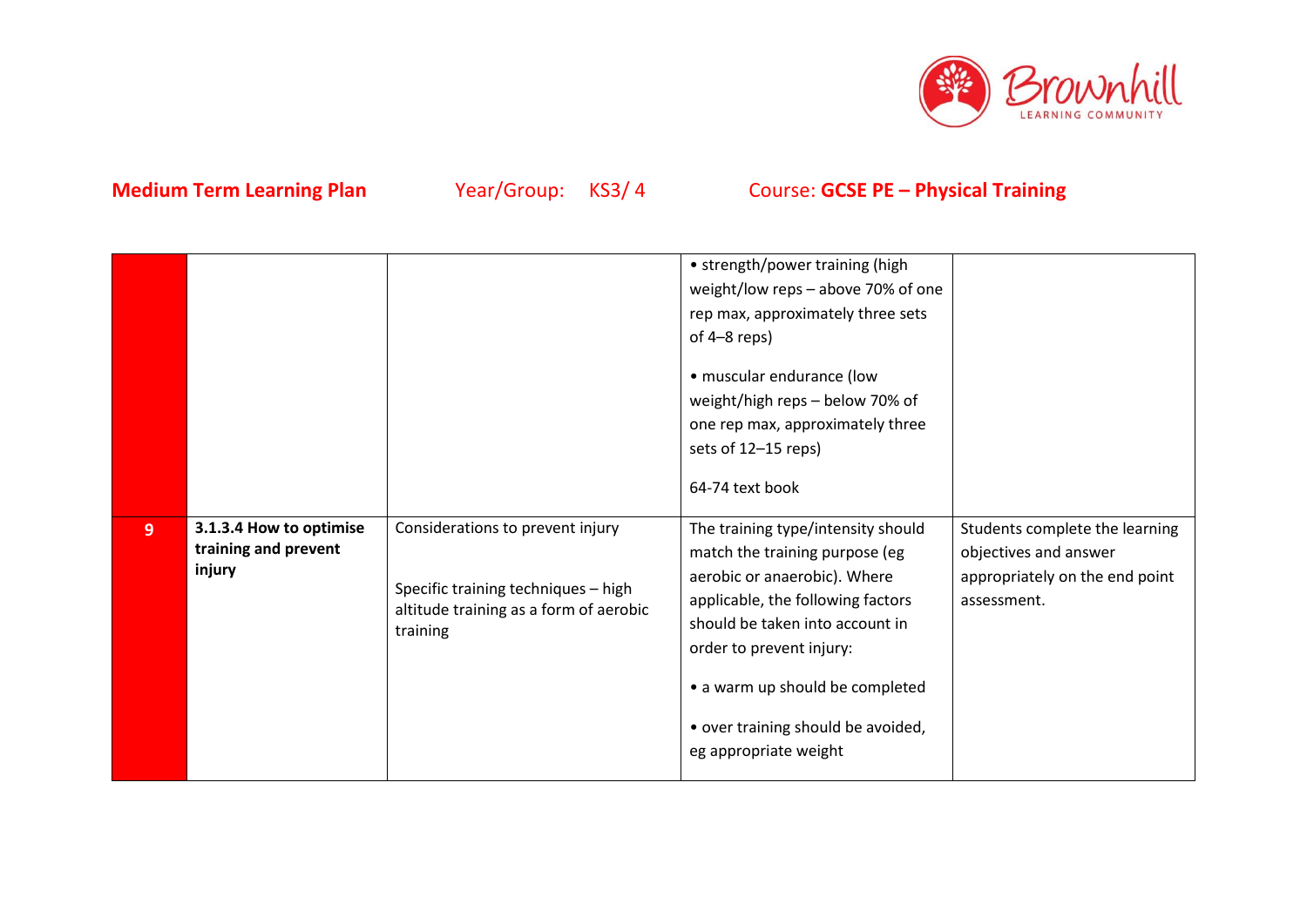

|                |                                                           |                                                                                                                               | • strength/power training (high<br>weight/low reps - above 70% of one<br>rep max, approximately three sets<br>of $4-8$ reps)<br>• muscular endurance (low<br>weight/high reps - below 70% of<br>one rep max, approximately three<br>sets of 12-15 reps)<br>64-74 text book                                 |                                                                                                          |
|----------------|-----------------------------------------------------------|-------------------------------------------------------------------------------------------------------------------------------|------------------------------------------------------------------------------------------------------------------------------------------------------------------------------------------------------------------------------------------------------------------------------------------------------------|----------------------------------------------------------------------------------------------------------|
| 9 <sup>°</sup> | 3.1.3.4 How to optimise<br>training and prevent<br>injury | Considerations to prevent injury<br>Specific training techniques - high<br>altitude training as a form of aerobic<br>training | The training type/intensity should<br>match the training purpose (eg<br>aerobic or anaerobic). Where<br>applicable, the following factors<br>should be taken into account in<br>order to prevent injury:<br>• a warm up should be completed<br>• over training should be avoided,<br>eg appropriate weight | Students complete the learning<br>objectives and answer<br>appropriately on the end point<br>assessment. |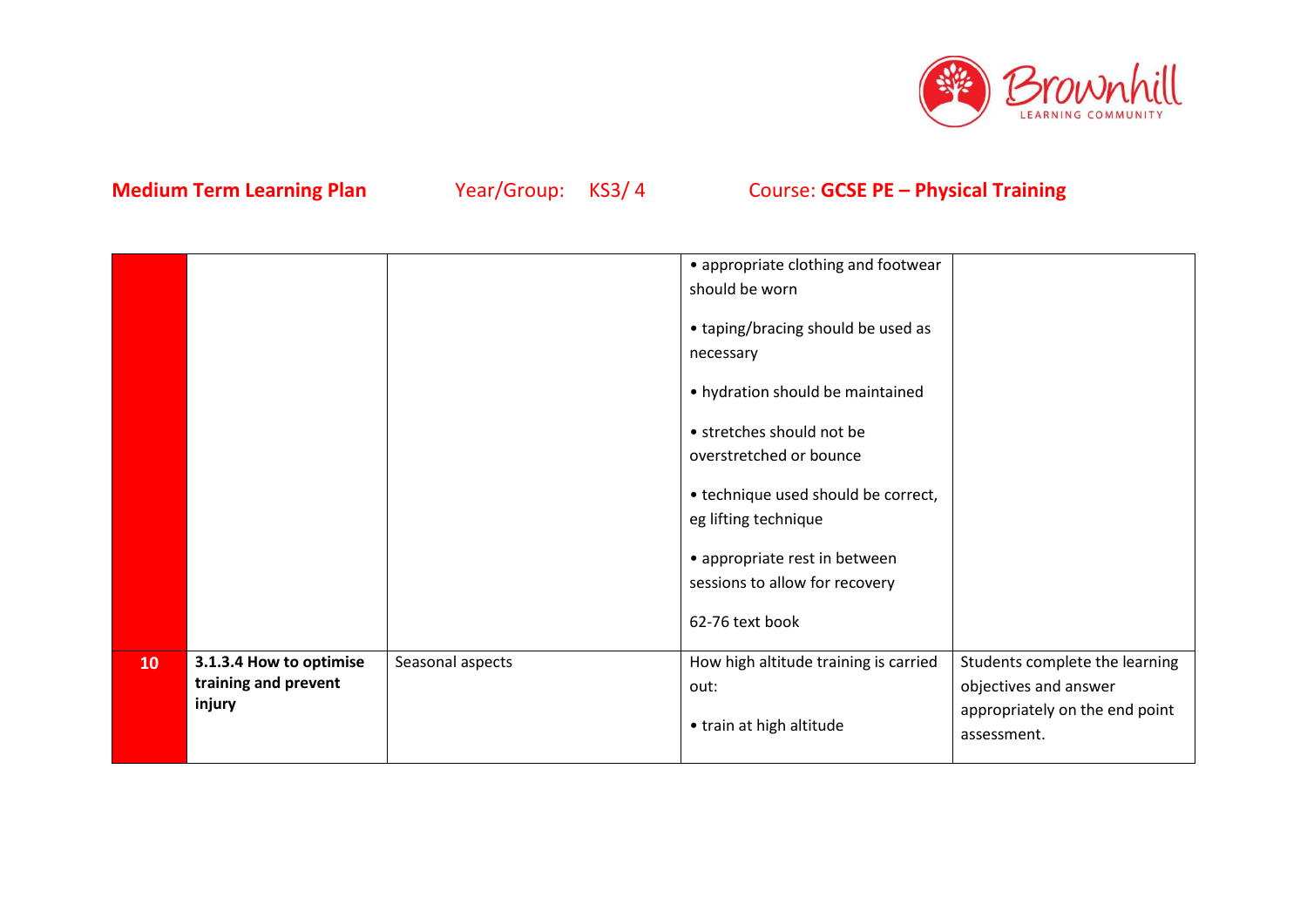

|    |                                |                  | • appropriate clothing and footwear                                                                                                                                                                                                                                                              |                                               |
|----|--------------------------------|------------------|--------------------------------------------------------------------------------------------------------------------------------------------------------------------------------------------------------------------------------------------------------------------------------------------------|-----------------------------------------------|
|    |                                |                  | should be worn                                                                                                                                                                                                                                                                                   |                                               |
|    |                                |                  | • taping/bracing should be used as<br>necessary<br>• hydration should be maintained<br>• stretches should not be<br>overstretched or bounce<br>• technique used should be correct,<br>eg lifting technique<br>• appropriate rest in between<br>sessions to allow for recovery<br>62-76 text book |                                               |
|    |                                |                  |                                                                                                                                                                                                                                                                                                  |                                               |
| 10 | 3.1.3.4 How to optimise        | Seasonal aspects | How high altitude training is carried                                                                                                                                                                                                                                                            | Students complete the learning                |
|    | training and prevent<br>injury |                  | out:                                                                                                                                                                                                                                                                                             | objectives and answer                         |
|    |                                |                  | • train at high altitude                                                                                                                                                                                                                                                                         | appropriately on the end point<br>assessment. |
|    |                                |                  |                                                                                                                                                                                                                                                                                                  |                                               |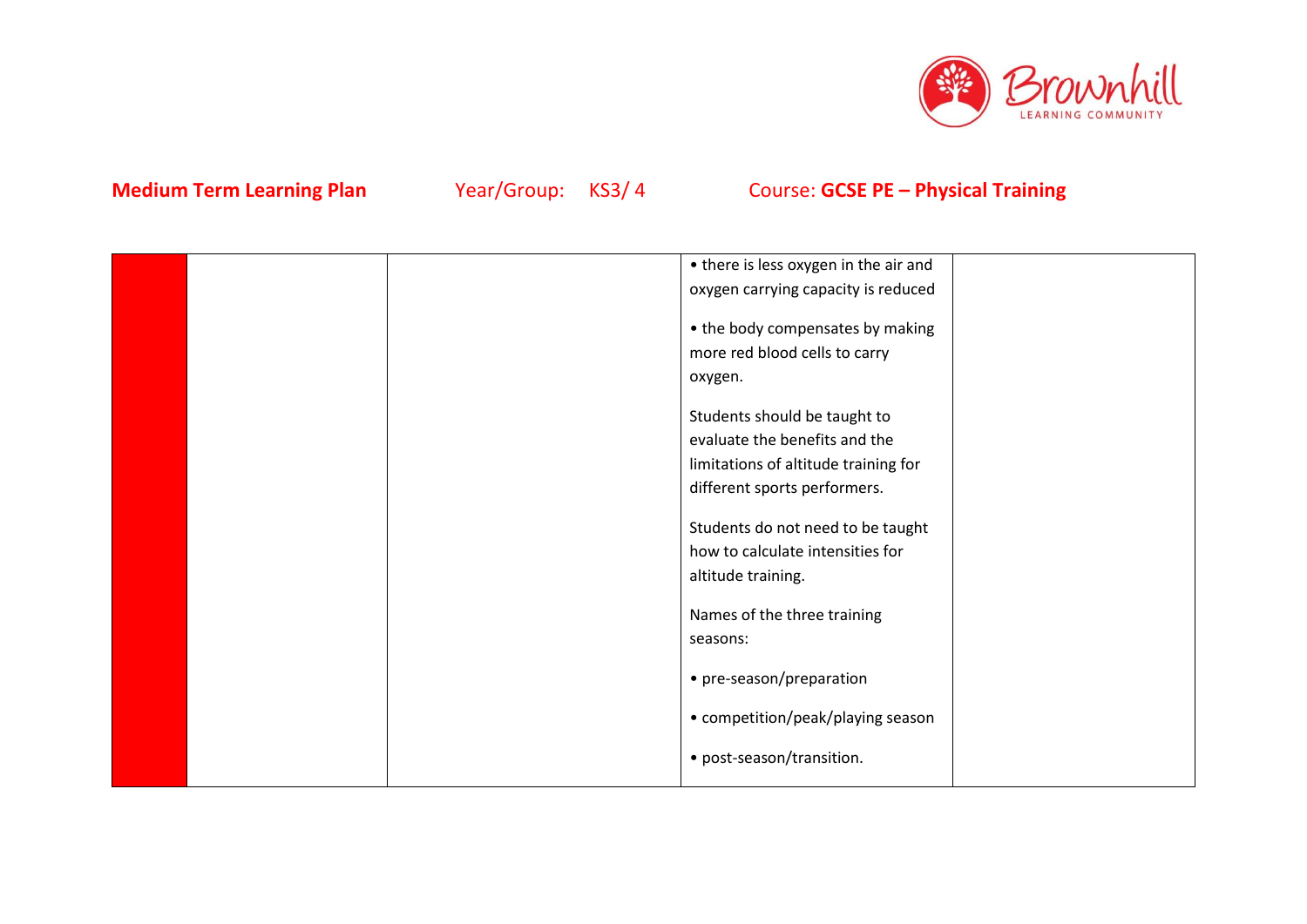

|  | • there is less oxygen in the air and |  |
|--|---------------------------------------|--|
|  | oxygen carrying capacity is reduced   |  |
|  | • the body compensates by making      |  |
|  |                                       |  |
|  | more red blood cells to carry         |  |
|  | oxygen.                               |  |
|  | Students should be taught to          |  |
|  | evaluate the benefits and the         |  |
|  | limitations of altitude training for  |  |
|  | different sports performers.          |  |
|  |                                       |  |
|  | Students do not need to be taught     |  |
|  | how to calculate intensities for      |  |
|  | altitude training.                    |  |
|  |                                       |  |
|  | Names of the three training           |  |
|  | seasons:                              |  |
|  | • pre-season/preparation              |  |
|  |                                       |  |
|  | • competition/peak/playing season     |  |
|  | • post-season/transition.             |  |
|  |                                       |  |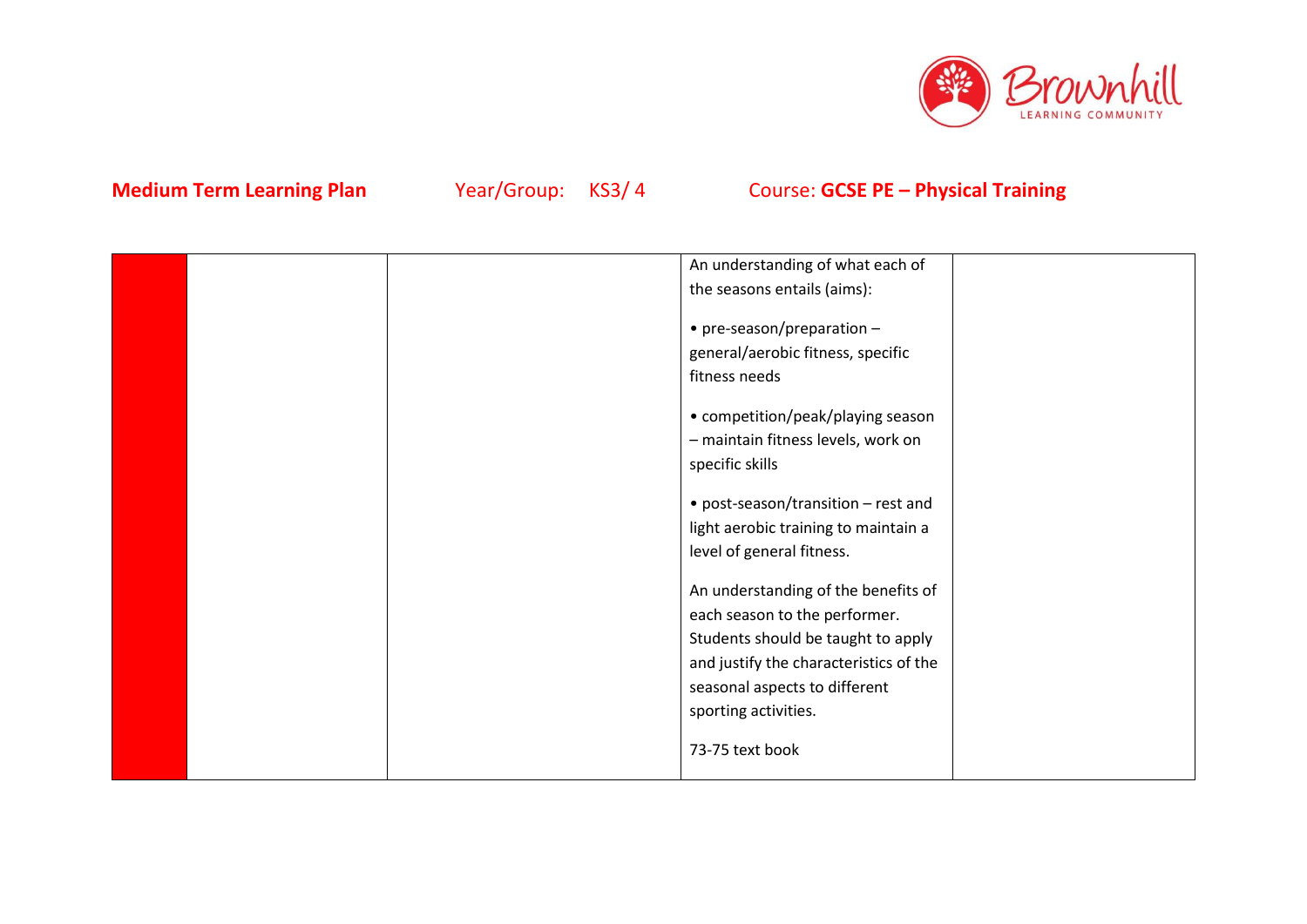

|  | An understanding of what each of       |  |
|--|----------------------------------------|--|
|  | the seasons entails (aims):            |  |
|  |                                        |  |
|  | $\bullet$ pre-season/preparation -     |  |
|  | general/aerobic fitness, specific      |  |
|  | fitness needs                          |  |
|  |                                        |  |
|  | • competition/peak/playing season      |  |
|  | - maintain fitness levels, work on     |  |
|  | specific skills                        |  |
|  | • post-season/transition - rest and    |  |
|  | light aerobic training to maintain a   |  |
|  | level of general fitness.              |  |
|  |                                        |  |
|  | An understanding of the benefits of    |  |
|  | each season to the performer.          |  |
|  | Students should be taught to apply     |  |
|  | and justify the characteristics of the |  |
|  | seasonal aspects to different          |  |
|  | sporting activities.                   |  |
|  |                                        |  |
|  | 73-75 text book                        |  |
|  |                                        |  |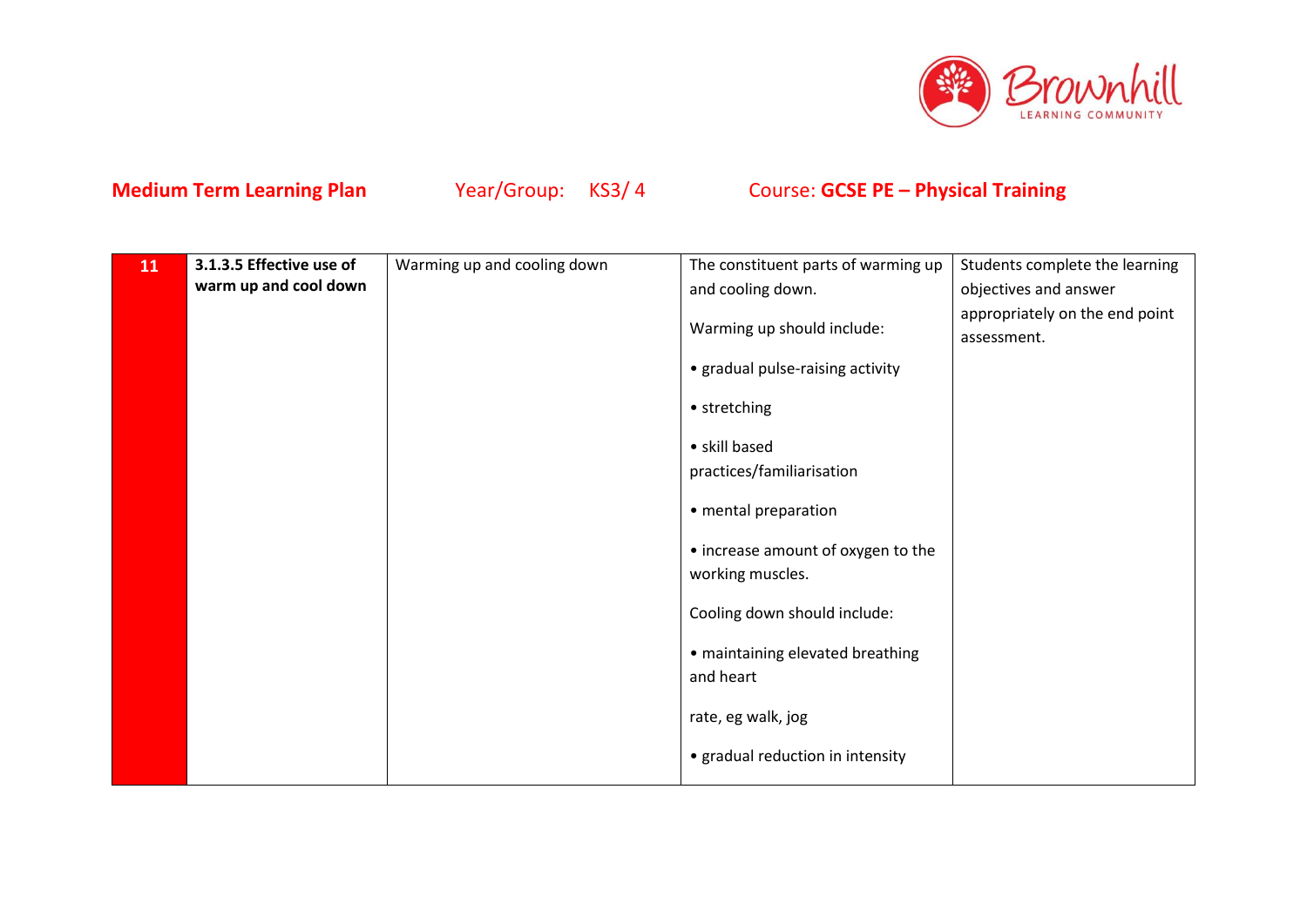

| 11 | 3.1.3.5 Effective use of | Warming up and cooling down | The constituent parts of warming up | Students complete the learning                |
|----|--------------------------|-----------------------------|-------------------------------------|-----------------------------------------------|
|    | warm up and cool down    |                             | and cooling down.                   | objectives and answer                         |
|    |                          |                             | Warming up should include:          | appropriately on the end point<br>assessment. |
|    |                          |                             | • gradual pulse-raising activity    |                                               |
|    |                          |                             | • stretching                        |                                               |
|    |                          |                             | • skill based                       |                                               |
|    |                          |                             | practices/familiarisation           |                                               |
|    |                          |                             | • mental preparation                |                                               |
|    |                          |                             | • increase amount of oxygen to the  |                                               |
|    |                          |                             | working muscles.                    |                                               |
|    |                          |                             | Cooling down should include:        |                                               |
|    |                          |                             | • maintaining elevated breathing    |                                               |
|    |                          |                             | and heart                           |                                               |
|    |                          |                             | rate, eg walk, jog                  |                                               |
|    |                          |                             | • gradual reduction in intensity    |                                               |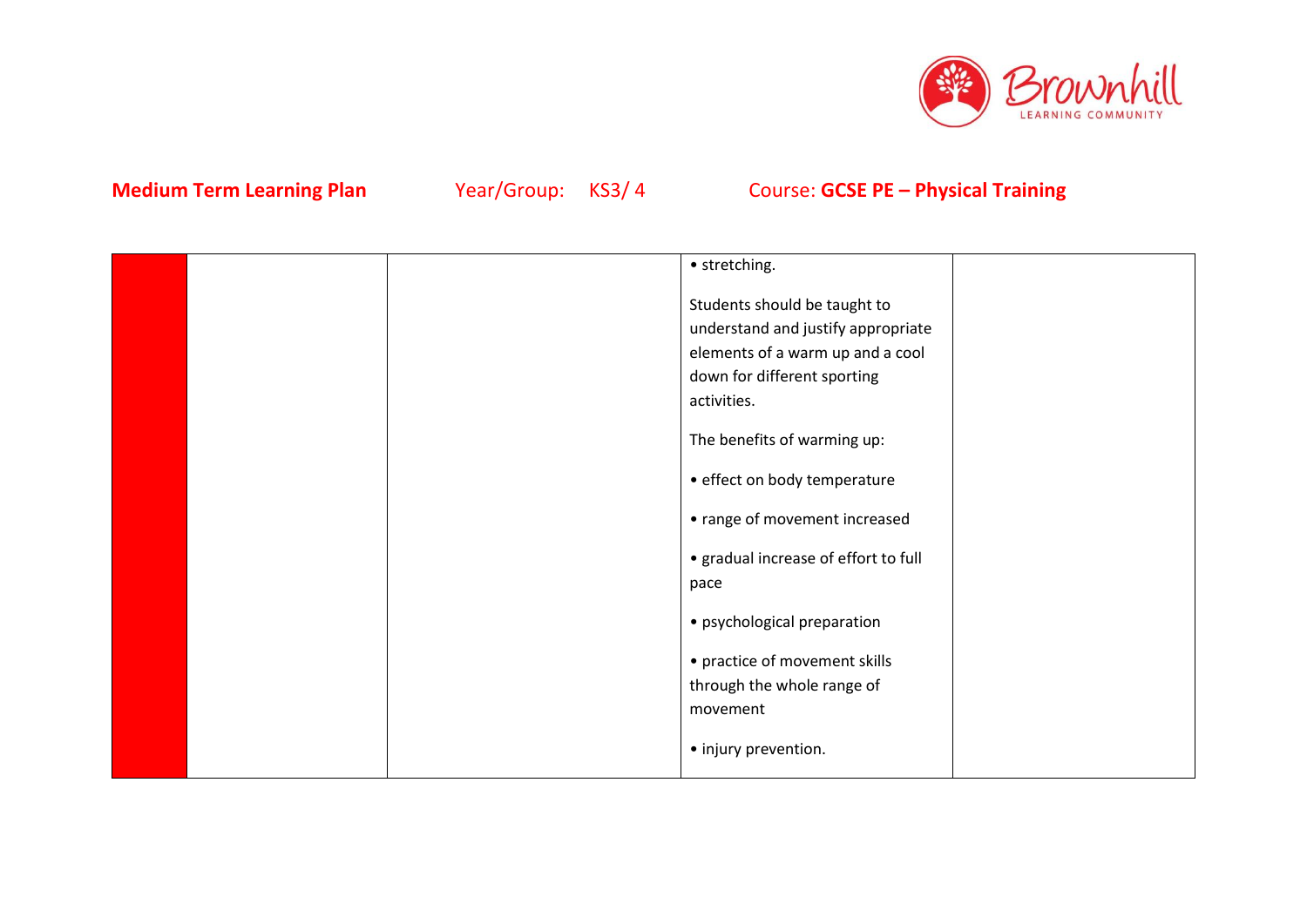

|  | • stretching.                        |  |
|--|--------------------------------------|--|
|  | Students should be taught to         |  |
|  | understand and justify appropriate   |  |
|  | elements of a warm up and a cool     |  |
|  | down for different sporting          |  |
|  | activities.                          |  |
|  | The benefits of warming up:          |  |
|  | • effect on body temperature         |  |
|  | • range of movement increased        |  |
|  | • gradual increase of effort to full |  |
|  | pace                                 |  |
|  | • psychological preparation          |  |
|  | • practice of movement skills        |  |
|  | through the whole range of           |  |
|  | movement                             |  |
|  | • injury prevention.                 |  |